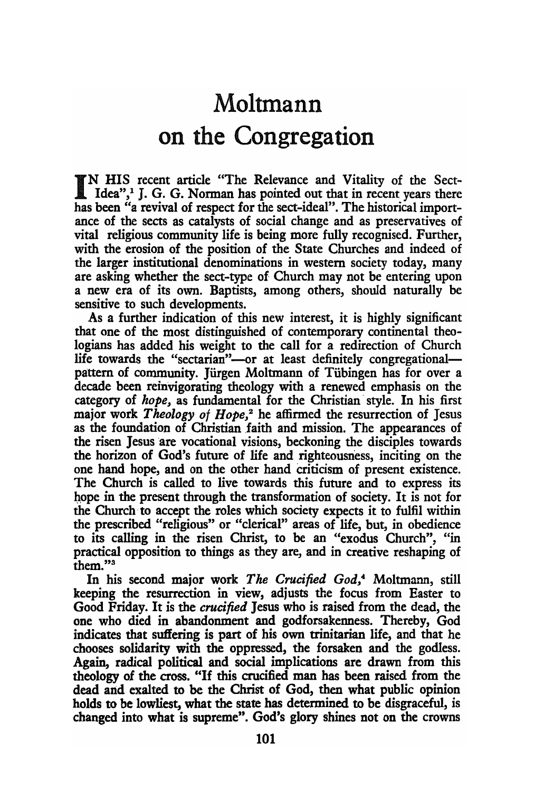## Moltmann on the Congregation

IN HIS recent article "The Relevance and Vitality of the Sect-Idea", J. G. G. Norman has pointed out that in recent years there N HIS recent article "The Relevance and Vitality of the Secthas been "a revival of respect for the sect-ideal". The historical importance of the sects as catalysts of social change and as preservatives of vital religious community life is being more fully recognised. Further, with the erosion of the position of the State Churches and indeed of the larger institutional denominations in western society today, many are asking whether the sect-type of Church may not be entering upon a new era of its own. Baptists, among others, should naturally be sensitive to such developments.

As a further indication of this new interest, it is highly significant that one of the most distinguished of contemporary continental theologians has added his weight to the call for a redirection of Church life towards the "sectarian"-or at least definitely congregationalpattern of community. Jürgen Moltmann of Tübingen has for over a decade been reinvigorating theology with a renewed emphasis on the category of *hope,* as fundamental for the Christian style. In his first major work *Theology of Hope*,<sup>2</sup> he affirmed the resurrection of Iesus as the foundation of Christian faith and mission. The appearances of the risen Jesus are vocational visions, beckoning the disciples towards the horizon of God's future of life and righteousness, inciting on the one hand hope, and on the other hand criticism of present existence. The Church is called to live towards this future and to express its hope in the present through the transformation of society. It is not for the Church to accept the roles which society expects it to fulfil within the prescribed "religious" or "clerical" areas of life, but, in obedience to its calling in the risen Christ, to be an "exodus Church", "in practical opposition to things as they are, and in creative reshaping of them."3

In his second major work *The Crucified God/"* Moltmann, still keeping the resurrection in view, adjusts the focus from Easter to Good Friday. It is the *crucified* Jesus who is raised from the dead, the one who died in abandonment and godforsakenness. Thereby, God indicates that suffering is part of his own trinitarian life, and that he chooses solidarity with the oppressed, the forsaken and the godless. Again, radical political and social implications are drawn from this theology of the cross. "If this crucified man has been raised from the dead and exalted to be the Christ of God, then what public opinion holds to be lowliest, what the state has determined to be disgraceful, is changed into what is supreme". God's glory shines not on the crowns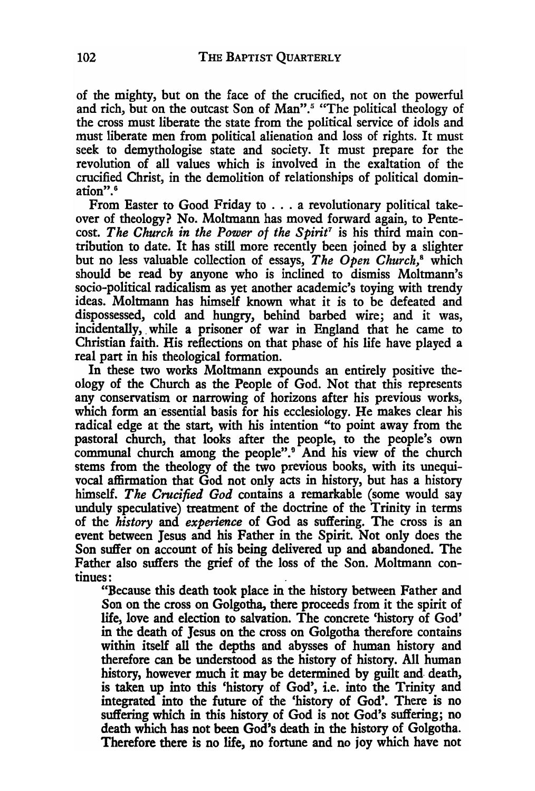of the mighty, but on the face of the crucified, not on the powerful and rich, but on the outcast Son of Man".<sup>5</sup> "The political theology of the cross must liberate the state from the political service of idols and must liberate men from political alienation and loss of rights. It must seek to demythologise state and society. It must prepare for the revolution of all values which is involved in the exaltation of the crucified Christ, in the demolition of relationships of political domination".6

From Easter to Good Friday to ... a revolutionary political takeover of theology? No. Moltmann has moved forward again, to Pentecost. The Church in the Power of the Spirit<sup>7</sup> is his third main contribution to date. It has still more recently been joined by a slighter but no less valuable collection of essays, *The Open Church*,<sup>8</sup> which should be read by anyone who is inclined to dismiss Moltmann's socio-political radicalism as yet another academic's toying with trendy ideas. Moltmann has himself known what it is to be defeated and dispossessed, cold and hungry, behind barbed wire; and it was, incidentally, while a prisoner of war in England that he came to Christian faith. His reflections on that phase of his life have played a real part in his theological formation.

In these two works Moltmann expounds an entirely positive theology of the Church as the People of God. Not that this represents any conservatism or narrowing of horizons after his previous works, which form an essential basis for his ecclesiology. He makes clear his radical edge at the start, with his intention "to point away from the pastoral church, that looks after the people, to the people's own communal church among the people".9 And his view of the church stems from the theology of the two previous books, with its unequivocal affirmation that God not only acts in history, but has a history himself. *The Crucified God* contains a remarkable (some would say unduly speculative) treatment of the doctrine of the Trinity in terms of the *history* and *experience* of God as suffering. The cross is an event between Jesus and his Father in the Spirit. Not only does the Son suffer on account of his being delivered up and abandoned. The Father also suffers the grief of the loss of the Son. Moltmann continues: .

"Because this death took place in the history between Father and Son on the cross on Golgotha, there proceeds from it the spirit of life, love and election to salvation. The concrete 'history of God' in the death of Jesus on the cross on Golgotha therefore contains within itself all the depths and abysses of human history and therefore can be understood. as the history of history. All human history, however much it may be determined by guilt and death, is taken up into this 'history of God', i.e. into the Trinity and integrated into the future of the 'history of God'. There is no suffering which in this history of God is not God's suffering; no death which has not been God's death in the history of Golgotha. Therefore there is no life, no fortune and no joy which have not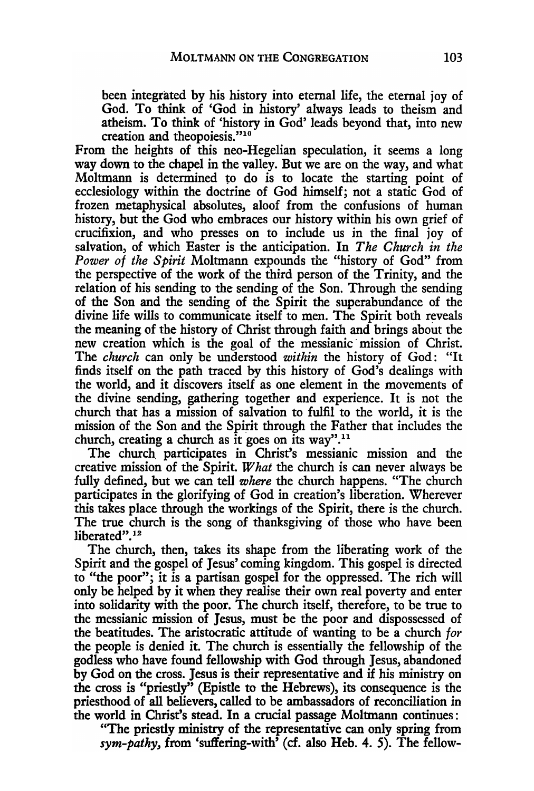been integrated by his history into eternal life, the eternal joy of God. To think of 'God in history' always leads to theism and atheism. To think of 'history in God' leads beyond that, into new creation and theopoiesis."<sup>10</sup>

From the heights of this neo-Hegelian speculation, it seems a long way down to the chapel in the valley. But we are on the way, and what Moltmann is determined to do is to locate the starting point of ecclesiology within the doctrine of God himself; not a static God of frozen metaphysical absolutes, aloof from the confusions of human history, but the God who embraces our history within his own grief of crucifixion, and who presses on to include us in the final joy of salvation, of which Easter is the anticipation. In *The Church in the Power of the Spirit* Moltmann expounds the "history of God" from the perspective of the work of the third person of the Trinity, and the relation of his sending to the sending of the Son. Through the sending of the Son and the sending of the Spirit the superabundance of the divine life wills to communicate itself to men. The Spirit both reveals the meaning of the history of Christ through faith and brings about the new creation which is the goal of the messianic· mission of Christ. The *church* can only be understood *within* the history of God: "It finds itself on the path traced by this history of God's dealings with the world, and it discovers itself as one element in the movements of the divine sending, gathering together and experience. It is not the church that has a mission of salvation to fulfil to the world, it is the mission of the Son and the Spirit through the Father that includes the church, creating a church as it goes on its way".<sup>11</sup>

The church participates in Christ's messianic mission and the creative mission of the Spirit. *What* the church is can never always be fully defined, but we can tell *where* the church happens. "The church participates in the glorifying of God in creation's liberation. Wherever this takes place through the workings of the Spirit, there is the church. The true church is the song of thanksgiving of those who have been liberated".<sup>12</sup>

The church, then, takes its shape from the liberating work of the Spirit and the gospel of Jesus' coming kingdom. This gospel is directed to "the poor"; it is a partisan gospel for the oppressed. The rich will only be helped by it when they realise their own real poverty and enter into solidarity with the poor. The church itself, therefore, to be true to the messianic mission of Jesus, must be the poor and dispossessed of the beatitudes. The aristocratic attitude of wanting to be a church *for*  the people is denied it. The church is essentially the fellowship of the godless who have found fellowship with God through Jesus, abandoned by God on the cross. Jesus is their representative and if his ministry on the cross is "priestly" (Epistle to the Hebrews), its consequence is the priesthood of all believers, called to be ambassadors of reconciliation in the world in Christ's stead. In a crucial passage Moltmann continues:

"The priestly ministry of the representative can only spring from *sym-pathy,* from 'suffering-with' (cf. also Heb. 4. 5). The fellow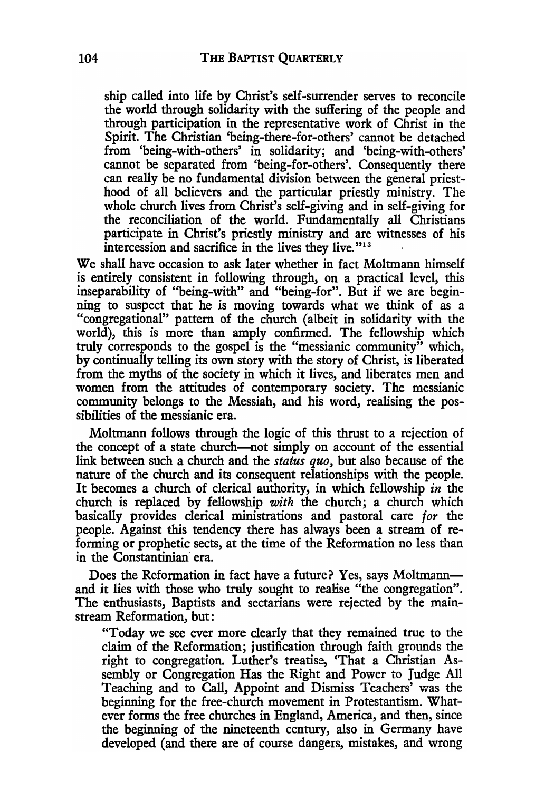ship called into life by Christ's self-surrender serves to reconcile the world through solidarity with the suffering of the people and through participation in the representative work of Christ in the Spirit. The Christian 'being-there-for-others' cannot be detached from 'being-with-others' in solidarity; and 'being-with-others' cannot be separated from 'being-for-others'. Consequently there can really be no fundamental division between the general priesthood of all believers and the particular priestly ministry. The whole church lives from Christ's self-giving and in self-giving for the reconciliation of the world. Fundamentally all Christians participate in Christ's priestly ministry and are witnesses of his intercession and sacrifice in the lives they live."13

We shall have occasion to ask later whether in fact Moltmann himself is entirely consistent in following through, on a practical level, this inseparability of "being-with" and "being-for". But if we are beginning to suspect that he is moving towards what we think of as a "congregational" pattern of the church (albeit in solidarity with the world), this is more than amply confirmed. The fellowship which truly corresponds to the gospel is the "messianic community" which, by continually telling its own story with the story of Christ, is liberated from the myths of the society in which it lives, and liberates men and women from the attitudes of contemporary society. The messianic community belongs to the Messiah, and his word, realising the possibilities of the messianic era.

Moltmann follows through the logic of this thrust to a rejection of the concept of a state church-not simply on account of the essential link between such a church and the *status quo,* but also because of the nature of the church and its consequent relationships with the people. **It** becomes a church of clerical authority, in which fellowship *in* the church is replaced by fellowship *with* the church; a church which basically provides clerical ministrations and pastoral care *for* the people. Against this tendency there has always been a stream of reforming or prophetic sects, at the time of the Reformation no less than in the Constantinian era.

Does the Reformation in fact have a future? Yes, says Moltmannand it lies with those who truly sought to realise "the congregation". The enthusiasts, Baptists and sectarians were rejected by the mainstream Reformation, but:

"Today we see ever more clearly that they remained true to the claim of the Reformation; justification through faith grounds the right to congregation. Luther's treatise, 'That a Christian Assembly or Congregation Has the Right and Power to Judge All Teaching and to Call, Appoint and Dismiss Teachers' was the beginning for the free-church movement in Protestantism. Whatever forms the free churches in England, America, and then, since the beginning of the nineteenth century, also in Germany have developed (and there are of course dangers, mistakes, and wrong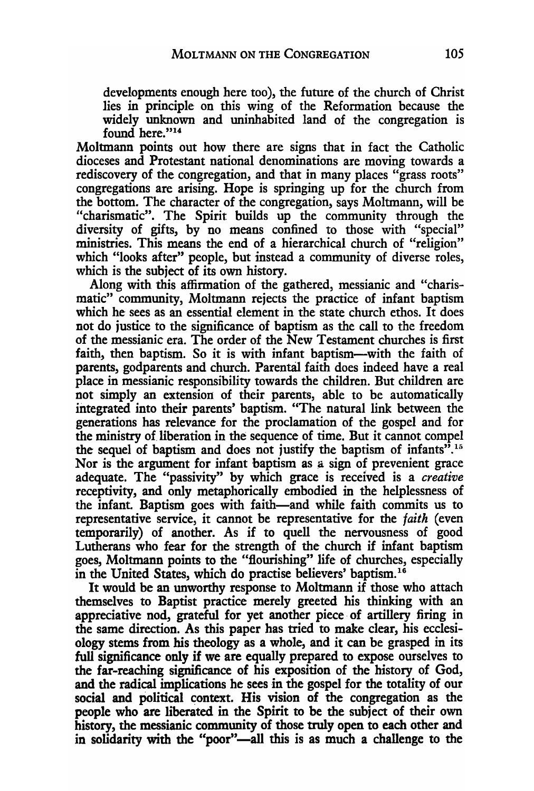developments enough here too), the future of the church of Christ lies in principle on this wing of the Reformation because the widely unknown and uninhabited land of the congregation is found here."<sup>14</sup>

Moltmann points out how there are signs that in fact the Catholic dioceses and Protestant national denominations are moving towards a rediscovery of the congregation, and that in many places "grass roots" congregations are arising. Hope is springing up for the church from the bottom. The character of the congregation, says Moltmann, will be "charismatic". The Spirit builds up the community through the diversity of gifts, by no means confined to those with "special" ministries. This means the end of a hierarchical church of "religion" which "looks after" people, but instead a community of diverse roles, which is the subject of its own history.

Along with this affirmation of the gathered, messianic and "charismatic" community, Moltmann rejects the practice of infant baptism which he sees as an essential element in the state church ethos. It does not do justice to the significance of baptism as the call to the freedom of the messianic era. The order of the New Testament churches is first faith, then baptism. So it is with infant baptism-with the faith of parents, godparents and church. Parental faith does indeed have a real place in messianic responsibility towards the children. But children are not simply an extension of their parents, able to be automatically integrated into their parents' baptism. "The natural link between the generations has relevance for the proclamation of the gospel and for the ministry of liberation in the sequence of time. But it cannot compel the sequel of baptism and does not justify the baptism of infants<sup> $5,15$ </sup> Nor is the argument for infant baptism as a sign of prevenient grace adequate. The "passivity" by which grace is received is a *creative*  receptivity, and only metaphorically embodied in the helplessness of the infant. Baptism goes with faith-and while faith commits us to representative service, it cannot be representative for the *faith* (even temporarily) of another. As if to quell the nervousness of good Lutherans who fear for the strength of the church if infant baptism goes, Moltmann points to the "flourishing" life of churches, especially in the United States, which do practise believers' baptism.<sup>16</sup>

It would be an unworthy response to Moltmann if those who attach themselves to Baptist practice merely greeted his thinking with an appreciative nod, grateful for yet another piece of artillery firing in the same direction. As this paper has tried to make clear, his ecclesiology stems from his theology as a whole, and it can be grasped in its full significance only if we are equally prepared to expose ourselves to the far-reaching significance of his exposition of the history of God, and the radical implications he sees in the gospel for the totality of our social and political context. His vision of the congregation as the people who are liberated in the Spirit to be the subject of their own history, the messianic community of those truly open to each other and in solidarity with the "poor"—all this is as much a challenge to the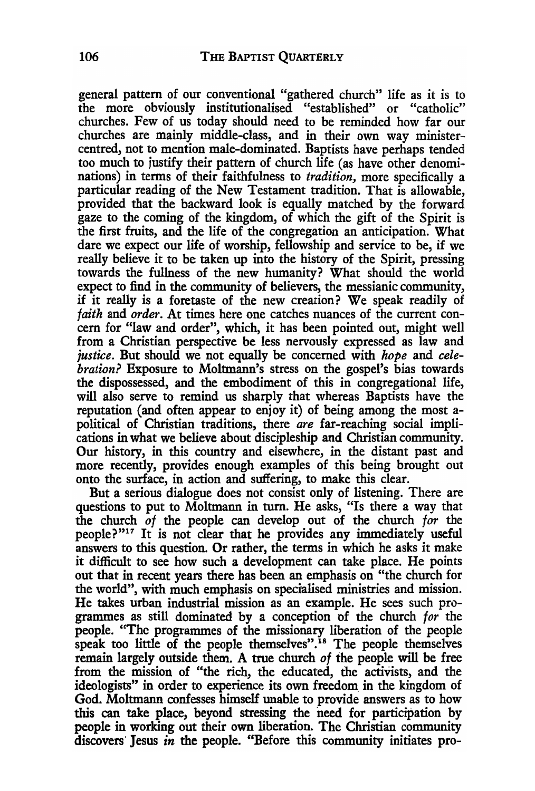general pattern of our conventional "gathered church" life as it is to the more obviously institutionalised "established" or "catholic" churches. Few of us today should need to be reminded how far our churches are mainly middle-class, and in their own way ministercentred, not to mention male-dominated. Baptists have perhaps tended too much to justify their pattern of church life (as have other denominations) in terms of their faithfulness to *tradition,* more specifically a particular reading of the New Testament tradition. That is allowable, provided that the backward look is equally matched by the forward gaze to the coming of the kingdom, of which the gift of the Spirit is the first fruits, and the life of the congregation an anticipation. What dare we expect our life of worship, fellowship and service to be, if we really believe it to be taken up into the history of the Spirit, pressing towards the fullness of the new humanity? What should the world expect to find in the community of believers, the messianic community, if it really is a foretaste of the new creation ? We speak readily of *faith* and *order.* At times here one catches nuances of the current concern for "law and order", which, it has been pointed out, might well from a Christian perspective be less nervously expressed as law and *justice.* But should we not equally be concerned with *hope* and *celebration?* Exposure to Moltmann's stress on the gospel's bias towards the dispossessed, and the embodiment of this in congregational life, will also serve to remind us sharply that whereas Baptists have the reputation (and often appear to enjoy it) of being among the most apolitical of Christian traditions, there *are* far-reaching social implications in what we believe about discipleship and Christian community. Our history, in this country and elsewhere, in the distant past and more recently, provides enough examples of this being brought out onto the surface, in action and suffering, to make this clear.

But a serious dialogue does not consist only of listening. There are questions to put to Moltmann in turn. He asks, "Is there a way that the church *of* the people can develop out of the church *for* the people?"17 It is not clear that he provides any immediately useful answers to this question. Or rather, the terms in which he asks it make it difficult to see how such a development can take place. He points out that in recent years there has been an emphasis on "the church for the world", with much emphasis on specialised ministries and mission. He takes urban industrial mission as an example. He sees such programmes as still dominated by a conception of the church *for* the people. "The programmes of the missionary liberation of the people speak too little of the people themselves".<sup>18</sup> The people themselves remain largely outside them. A true church of the people will be free from the mission of "the rich, the educated, the activists, and the ideologists" in order to experience its own freedom in the kingdom of God. Moltmann confesses himself unable to provide answers as to how this can take place, beyond stressing the need for participation by people in working out their own liberation. The Christian community discovers Jesus *in* the people. "Before this community initiates pro-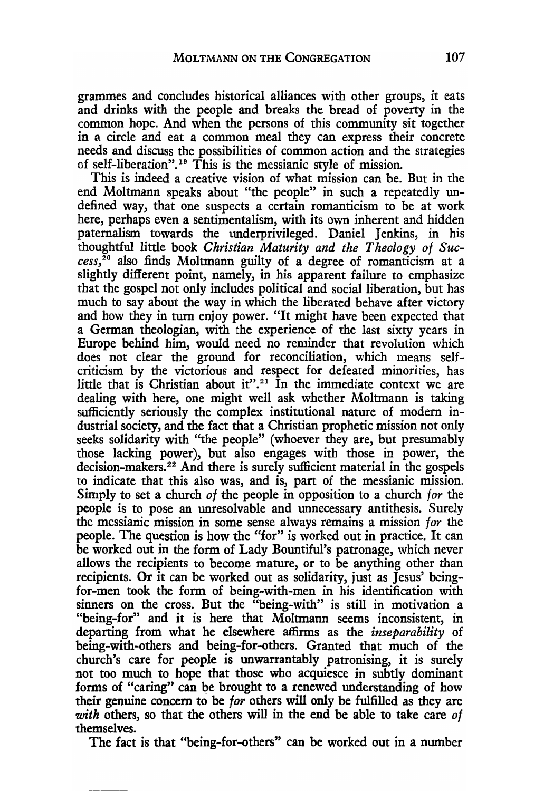grammes and concludes historical alliances with other groups, it eats and drinks with the people and breaks the bread of poverty in the common hope. And when the persons of this community sit together in a circle and eat a common meal they can express their concrete needs and discuss the possibilities of common action and the strategies of self-liberation".19 This is the messianic style of mission.

This is indeed a creative vision of what mission can be. But in the end Moltmann speaks about "the people" in such a repeatedly undefined way, that one suspects a certain romanticism to be at work here, perhaps even a sentimentalism, with its own inherent and hidden paternalism towards the underprivileged. Daniel Jenkins, in his thoughtful little book *Christian Maturity and the Theology of Success,20* also finds Moltmann guilty of a degree of romanticism at a slightly different point, namely, in his apparent failure to emphasize that the gospel not only includes political and social liberation, but has much to say about the way in which the liberated behave after victory and how they in turn enjoy power. "It might have been expected that a German theologian, with the experience of the last sixty years in Europe behind him, would need no reminder that revolution which does not clear the ground for reconciliation, which means selfcriticism by the victorious and respect for defeated minorities, has little that is Christian about it".<sup>21</sup> In the immediate context we are dealing with here, one might well ask whether Moltmann is taking sufficiently seriously the complex institutional nature of modem industrial society, and the fact that a Christian prophetic mission not only seeks solidarity with "the people" (whoever they are, but presumably those lacking power), but also engages with those in power, the decision-makers.22 And there is surely sufficient material in the gospels to indicate that this also was, and is, part of the messianic mission. Simply to set a church *of* the people in opposition to a church *for* the people is to pose an unresolvable and unnecessary antithesis. Surely the messianic mission in some sense always remains a mission *for* the people. The question is how the "for" is worked out in practice. It can be worked out in the form of Lady Bountiful's patronage, which never allows the recipients to become mature, or to be anything other than recipients. Or it can be worked out as solidarity, just as Jesus' beingfor-men took the form of being-with-men in his identification with sinners on the cross. But the "being-with" is still in motivation a "being-for" and it is here that Moltmann seems inconsistent, in departing from what he elsewhere affirms as the *inseparability* of being-with-others and being-for-others. Granted that much of the church's care for people is unwarrantably patronising, it is surely not too much to hope that those who acquiesce in subtly dominant forms of "caring" can be brought to a renewed understanding of how their genuine concern to be *for* others will only be fulfilled as they are *with* others, so that the others will in the end be able to take care *of*  themselves.

The fact is that "being-for-others" can be worked out in a number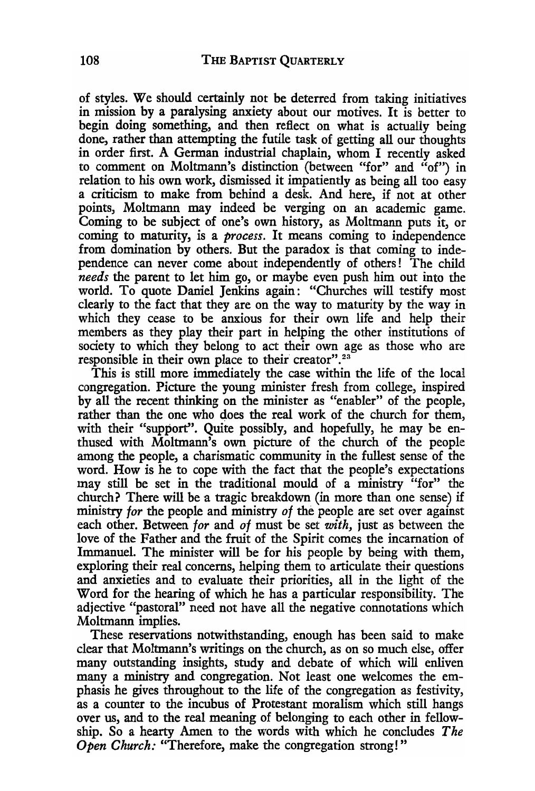of styles. We should certainly not be deterred from taking initiatives in mission by a paralysing anxiety about our motives. It is better to begin doing something, and then reflect on what is actually being done, rather than attempting the futile task of getting all our thoughts in order first. A German industrial chaplain, whom I recently asked to comment on Moltmann's distinction (between "for" and "of") in relation to his own work, dismissed it impatiently as being all too easy a criticism to make from behind a desk. And here, if not at other points, Moltmann may indeed be verging on an academic game. Coming to be subject of one's own history, as Moltmann puts it, or coming to maturity, is a *process.* It means coming to independence from domination by others. But the paradox is that coming to independence can never come about independently of others! The child *needs* the parent to let him go, or maybe even push him out into the world. To quote Daniel Jenkins again: "Churches will testify most clearly to the fact that they are on the way to maturity by the way in which they cease to be anxious for their own life and help their members as they play their part in helping the other institutions of society to which they belong to act their own age as those who are responsible in their own place to their creator".<sup>23</sup>

This is still more immediately the case within the life of the local. congregation. Picture the young minister fresh from college, inspired by all the recent thinking on the minister as "enabler" of the people, rather than the one who does the real work of the church for them, with their "support". Quite possibly, and hopefully, he may be enthused with Moltmann's own picture of the church of the people among the people, a charismatic community in the fullest sense of the word. How is he to cope with the fact that the people's expectations may still be set in the traditional mould of a ministry "for" the church? There will be a tragic breakdown (in more than one sense) if ministry *for* the people and ministry *of* the people are set over against each other. Between *for* and *of* must be set *with,* just as between the love of the Father and the fruit of the Spirit comes the incarnation of Immanuel. The minister will be for his people by being with them, exploring their real concerns, helping them to articulate their questions and anxieties and to evaluate their priorities, all in the light of the Word for the hearing of which he has a particular responsibility. The adjective "pastoral" need not have all the negative connotations which Moltmann implies.

These reservations notwithstanding, enough has been said to make clear that Moltmann's writings on the church, as on so much else, offer many outstanding insights, study and debate of which will enliven many a ministry and congregation. Not least one welcomes the emphasis he gives throughout to the life of the congregation as festivity, as a counter to the incubus of Protestant moralism which still hangs over us, and to the real meaning of belonging to each other in fellowship. So a hearty Amen to the words with which he concludes *The Open Church:* "Therefore, make the congregation strong!"